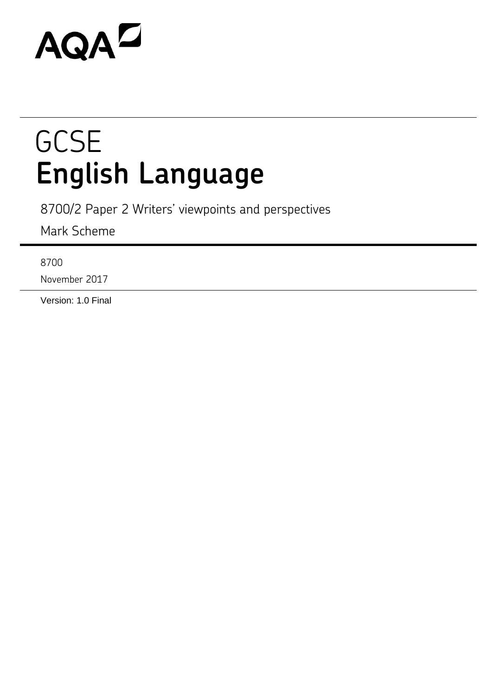# AQAZ

## **GCSE English Language**

8700/2 Paper 2 Writers' viewpoints and perspectives

Mark Scheme

8700

November 2017

Version: 1.0 Final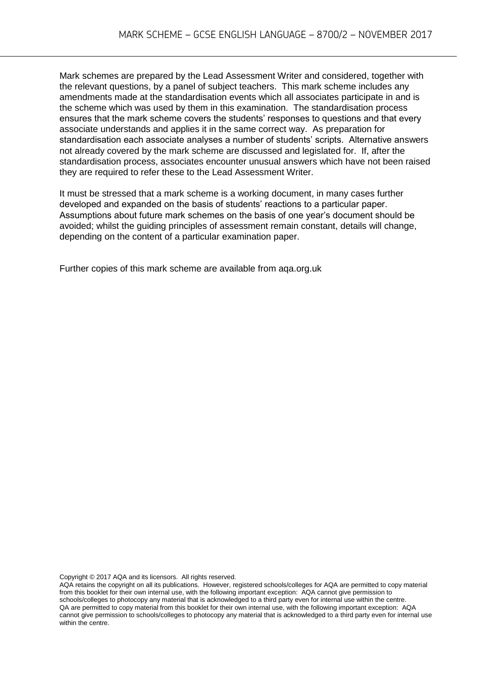Mark schemes are prepared by the Lead Assessment Writer and considered, together with the relevant questions, by a panel of subject teachers. This mark scheme includes any amendments made at the standardisation events which all associates participate in and is the scheme which was used by them in this examination. The standardisation process ensures that the mark scheme covers the students' responses to questions and that every associate understands and applies it in the same correct way. As preparation for standardisation each associate analyses a number of students' scripts. Alternative answers not already covered by the mark scheme are discussed and legislated for. If, after the standardisation process, associates encounter unusual answers which have not been raised they are required to refer these to the Lead Assessment Writer.

It must be stressed that a mark scheme is a working document, in many cases further developed and expanded on the basis of students' reactions to a particular paper. Assumptions about future mark schemes on the basis of one year's document should be avoided; whilst the guiding principles of assessment remain constant, details will change, depending on the content of a particular examination paper.

Further copies of this mark scheme are available from aqa.org.uk

Copyright © 2017 AQA and its licensors. All rights reserved.

AQA retains the copyright on all its publications. However, registered schools/colleges for AQA are permitted to copy material from this booklet for their own internal use, with the following important exception: AQA cannot give permission to schools/colleges to photocopy any material that is acknowledged to a third party even for internal use within the centre. QA are permitted to copy material from this booklet for their own internal use, with the following important exception: AQA cannot give permission to schools/colleges to photocopy any material that is acknowledged to a third party even for internal use within the centre.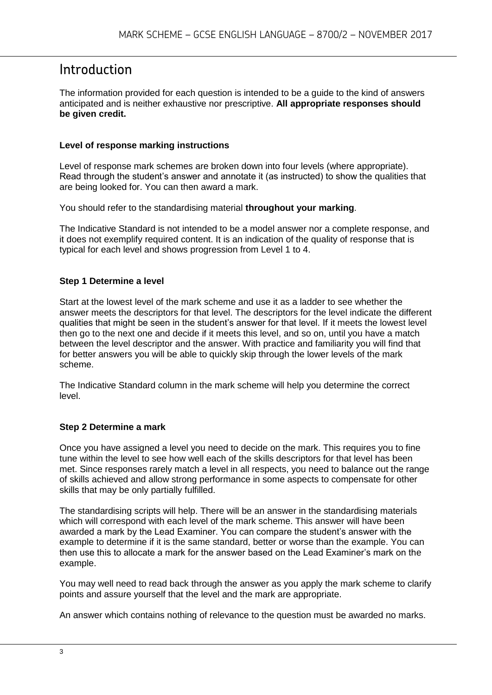## Introduction

The information provided for each question is intended to be a guide to the kind of answers anticipated and is neither exhaustive nor prescriptive. **All appropriate responses should be given credit.** 

#### **Level of response marking instructions**

Level of response mark schemes are broken down into four levels (where appropriate). Read through the student's answer and annotate it (as instructed) to show the qualities that are being looked for. You can then award a mark.

You should refer to the standardising material **throughout your marking**.

The Indicative Standard is not intended to be a model answer nor a complete response, and it does not exemplify required content. It is an indication of the quality of response that is typical for each level and shows progression from Level 1 to 4.

#### **Step 1 Determine a level**

Start at the lowest level of the mark scheme and use it as a ladder to see whether the answer meets the descriptors for that level. The descriptors for the level indicate the different qualities that might be seen in the student's answer for that level. If it meets the lowest level then go to the next one and decide if it meets this level, and so on, until you have a match between the level descriptor and the answer. With practice and familiarity you will find that for better answers you will be able to quickly skip through the lower levels of the mark scheme.

The Indicative Standard column in the mark scheme will help you determine the correct level.

#### **Step 2 Determine a mark**

Once you have assigned a level you need to decide on the mark. This requires you to fine tune within the level to see how well each of the skills descriptors for that level has been met. Since responses rarely match a level in all respects, you need to balance out the range of skills achieved and allow strong performance in some aspects to compensate for other skills that may be only partially fulfilled.

The standardising scripts will help. There will be an answer in the standardising materials which will correspond with each level of the mark scheme. This answer will have been awarded a mark by the Lead Examiner. You can compare the student's answer with the example to determine if it is the same standard, better or worse than the example. You can then use this to allocate a mark for the answer based on the Lead Examiner's mark on the example.

You may well need to read back through the answer as you apply the mark scheme to clarify points and assure yourself that the level and the mark are appropriate.

An answer which contains nothing of relevance to the question must be awarded no marks.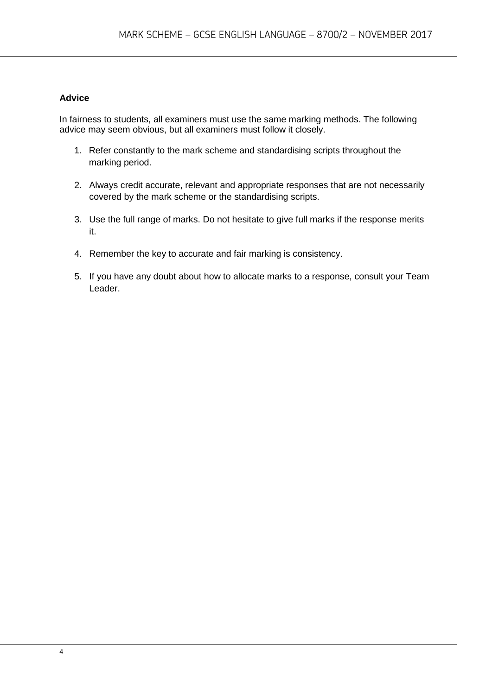#### **Advice**

In fairness to students, all examiners must use the same marking methods. The following advice may seem obvious, but all examiners must follow it closely.

- 1. Refer constantly to the mark scheme and standardising scripts throughout the marking period.
- 2. Always credit accurate, relevant and appropriate responses that are not necessarily covered by the mark scheme or the standardising scripts.
- 3. Use the full range of marks. Do not hesitate to give full marks if the response merits it.
- 4. Remember the key to accurate and fair marking is consistency.
- 5. If you have any doubt about how to allocate marks to a response, consult your Team Leader.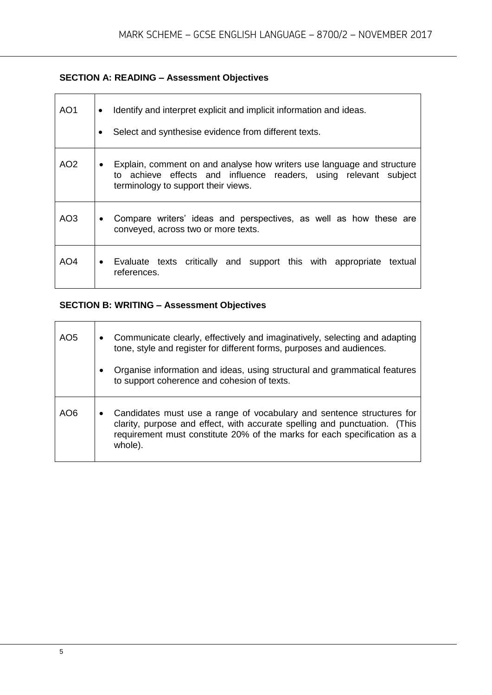#### **SECTION A: READING – Assessment Objectives**

| AO1             | Identify and interpret explicit and implicit information and ideas.<br>$\bullet$<br>Select and synthesise evidence from different texts.                                                       |  |  |  |  |
|-----------------|------------------------------------------------------------------------------------------------------------------------------------------------------------------------------------------------|--|--|--|--|
| AO <sub>2</sub> | Explain, comment on and analyse how writers use language and structure<br>$\bullet$<br>to achieve effects and influence readers, using relevant subject<br>terminology to support their views. |  |  |  |  |
| AO3             | Compare writers' ideas and perspectives, as well as how these are<br>$\bullet$<br>conveyed, across two or more texts.                                                                          |  |  |  |  |
| AO4             | • Evaluate texts critically and support this with appropriate textual<br>references.                                                                                                           |  |  |  |  |

### **SECTION B: WRITING – Assessment Objectives**

| AO <sub>5</sub> | $\bullet$ | Communicate clearly, effectively and imaginatively, selecting and adapting<br>tone, style and register for different forms, purposes and audiences.                                                                                        |
|-----------------|-----------|--------------------------------------------------------------------------------------------------------------------------------------------------------------------------------------------------------------------------------------------|
|                 | $\bullet$ | Organise information and ideas, using structural and grammatical features<br>to support coherence and cohesion of texts.                                                                                                                   |
| AO6             | $\bullet$ | Candidates must use a range of vocabulary and sentence structures for<br>clarity, purpose and effect, with accurate spelling and punctuation. (This<br>requirement must constitute 20% of the marks for each specification as a<br>whole). |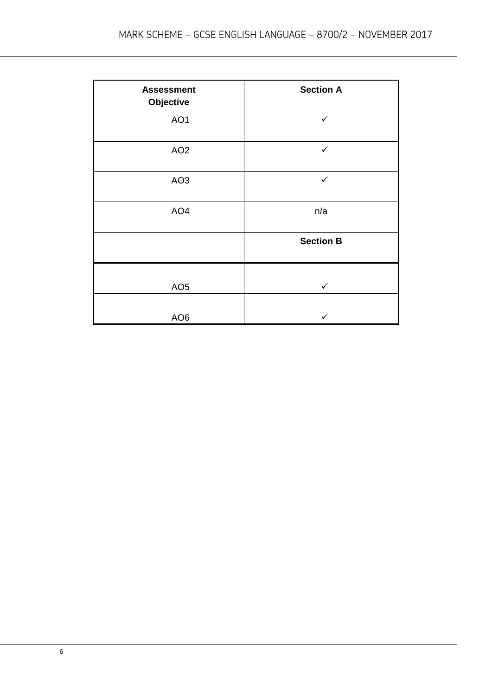| <b>Assessment</b><br>Objective | <b>Section A</b> |
|--------------------------------|------------------|
| AO1                            | $\checkmark$     |
| AO <sub>2</sub>                | ✓                |
| AO <sub>3</sub>                | $\checkmark$     |
| AO <sub>4</sub>                | n/a              |
|                                | <b>Section B</b> |
| AO <sub>5</sub>                | $\checkmark$     |
| AO <sub>6</sub>                |                  |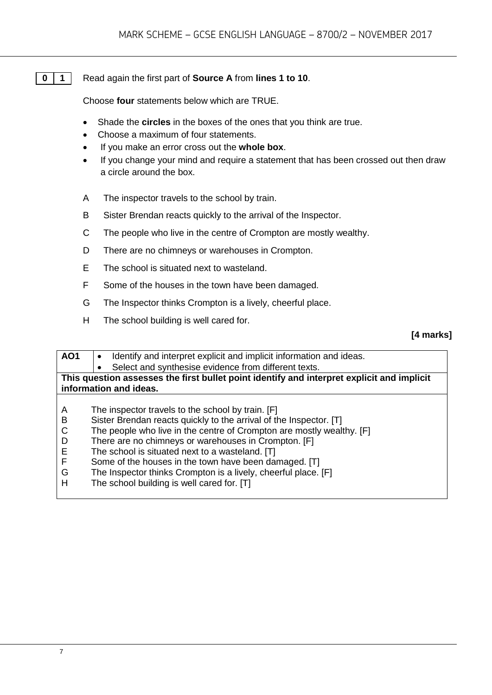#### **0 1** Read again the first part of **Source A** from **lines 1 to 10**.

Choose **four** statements below which are TRUE.

- Shade the **circles** in the boxes of the ones that you think are true.
- Choose a maximum of four statements.
- If you make an error cross out the **whole box**.
- If you change your mind and require a statement that has been crossed out then draw a circle around the box.
- A The inspector travels to the school by train.
- B Sister Brendan reacts quickly to the arrival of the Inspector.
- C The people who live in the centre of Crompton are mostly wealthy.
- D There are no chimneys or warehouses in Crompton.
- E The school is situated next to wasteland.
- F Some of the houses in the town have been damaged.
- G The Inspector thinks Crompton is a lively, cheerful place.
- H The school building is well cared for.

#### **[4 marks]**

| AO <sub>1</sub> | Identify and interpret explicit and implicit information and ideas.                        |  |  |
|-----------------|--------------------------------------------------------------------------------------------|--|--|
|                 | Select and synthesise evidence from different texts.                                       |  |  |
|                 | This question assesses the first bullet point identify and interpret explicit and implicit |  |  |
|                 | information and ideas.                                                                     |  |  |
|                 |                                                                                            |  |  |
| A               | The inspector travels to the school by train. [F]                                          |  |  |
| B               | Sister Brendan reacts quickly to the arrival of the Inspector. [T]                         |  |  |
| C               | The people who live in the centre of Crompton are mostly wealthy. [F]                      |  |  |
| D               | There are no chimneys or warehouses in Crompton. [F]                                       |  |  |
| Е               | The school is situated next to a wasteland. [T]                                            |  |  |
| F               | Some of the houses in the town have been damaged. [T]                                      |  |  |
| G               | The Inspector thinks Crompton is a lively, cheerful place. [F]                             |  |  |
| н               | The school building is well cared for. [T]                                                 |  |  |
|                 |                                                                                            |  |  |
|                 |                                                                                            |  |  |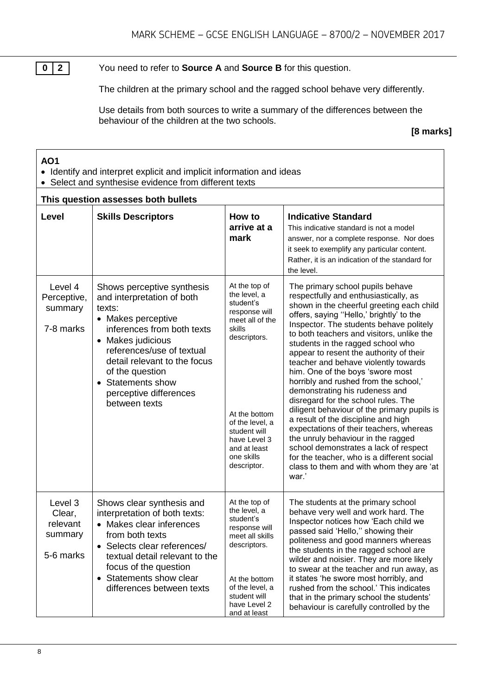**0 2** You need to refer to **Source A** and **Source B** for this question.

The children at the primary school and the ragged school behave very differently.

Use details from both sources to write a summary of the differences between the behaviour of the children at the two schools.

#### **[8 marks]**

#### **AO1**

- Identify and interpret explicit and implicit information and ideas
- Select and synthesise evidence from different texts

#### **This question assesses both bullets**

| This question assesses both bullets                   |                                                                                                                                                                                                                                                                                             |                                                                                                                                                                                                                           |                                                                                                                                                                                                                                                                                                                                                                                                                                                                                                                                                                                                                                                                                                                                                                                                                                                             |  |
|-------------------------------------------------------|---------------------------------------------------------------------------------------------------------------------------------------------------------------------------------------------------------------------------------------------------------------------------------------------|---------------------------------------------------------------------------------------------------------------------------------------------------------------------------------------------------------------------------|-------------------------------------------------------------------------------------------------------------------------------------------------------------------------------------------------------------------------------------------------------------------------------------------------------------------------------------------------------------------------------------------------------------------------------------------------------------------------------------------------------------------------------------------------------------------------------------------------------------------------------------------------------------------------------------------------------------------------------------------------------------------------------------------------------------------------------------------------------------|--|
| Level                                                 | <b>Skills Descriptors</b>                                                                                                                                                                                                                                                                   | How to<br>arrive at a<br>mark                                                                                                                                                                                             | <b>Indicative Standard</b><br>This indicative standard is not a model<br>answer, nor a complete response. Nor does<br>it seek to exemplify any particular content.<br>Rather, it is an indication of the standard for<br>the level.                                                                                                                                                                                                                                                                                                                                                                                                                                                                                                                                                                                                                         |  |
| Level 4<br>Perceptive,<br>summary<br>7-8 marks        | Shows perceptive synthesis<br>and interpretation of both<br>texts:<br>• Makes perceptive<br>inferences from both texts<br>• Makes judicious<br>references/use of textual<br>detail relevant to the focus<br>of the question<br>• Statements show<br>perceptive differences<br>between texts | At the top of<br>the level, a<br>student's<br>response will<br>meet all of the<br>skills<br>descriptors.<br>At the bottom<br>of the level, a<br>student will<br>have Level 3<br>and at least<br>one skills<br>descriptor. | The primary school pupils behave<br>respectfully and enthusiastically, as<br>shown in the cheerful greeting each child<br>offers, saying "Hello,' brightly' to the<br>Inspector. The students behave politely<br>to both teachers and visitors, unlike the<br>students in the ragged school who<br>appear to resent the authority of their<br>teacher and behave violently towards<br>him. One of the boys 'swore most<br>horribly and rushed from the school,'<br>demonstrating his rudeness and<br>disregard for the school rules. The<br>diligent behaviour of the primary pupils is<br>a result of the discipline and high<br>expectations of their teachers, whereas<br>the unruly behaviour in the ragged<br>school demonstrates a lack of respect<br>for the teacher, who is a different social<br>class to them and with whom they are 'at<br>war.' |  |
| Level 3<br>Clear,<br>relevant<br>summary<br>5-6 marks | Shows clear synthesis and<br>interpretation of both texts:<br>• Makes clear inferences<br>from both texts<br>• Selects clear references/<br>textual detail relevant to the<br>focus of the question<br>Statements show clear<br>$\bullet$<br>differences between texts                      | At the top of<br>the level, a<br>student's<br>response will<br>meet all skills<br>descriptors.<br>At the bottom<br>of the level, a<br>student will<br>have Level 2<br>and at least                                        | The students at the primary school<br>behave very well and work hard. The<br>Inspector notices how 'Each child we<br>passed said 'Hello," showing their<br>politeness and good manners whereas<br>the students in the ragged school are<br>wilder and noisier. They are more likely<br>to swear at the teacher and run away, as<br>it states 'he swore most horribly, and<br>rushed from the school.' This indicates<br>that in the primary school the students'<br>behaviour is carefully controlled by the                                                                                                                                                                                                                                                                                                                                                |  |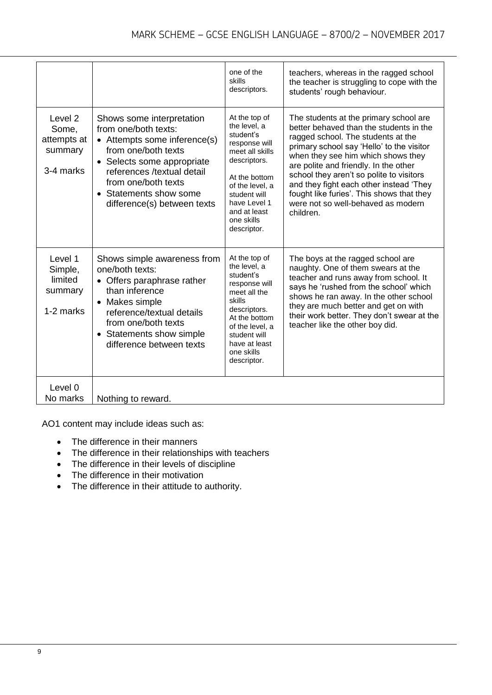|                                                         |                                                                                                                                                                                                                                                      | one of the<br>skills<br>descriptors.                                                                                                                                                                            | teachers, whereas in the ragged school<br>the teacher is struggling to cope with the<br>students' rough behaviour.                                                                                                                                                                                                                                                                                                                         |
|---------------------------------------------------------|------------------------------------------------------------------------------------------------------------------------------------------------------------------------------------------------------------------------------------------------------|-----------------------------------------------------------------------------------------------------------------------------------------------------------------------------------------------------------------|--------------------------------------------------------------------------------------------------------------------------------------------------------------------------------------------------------------------------------------------------------------------------------------------------------------------------------------------------------------------------------------------------------------------------------------------|
| Level 2<br>Some,<br>attempts at<br>summary<br>3-4 marks | Shows some interpretation<br>from one/both texts:<br>• Attempts some inference(s)<br>from one/both texts<br>• Selects some appropriate<br>references /textual detail<br>from one/both texts<br>• Statements show some<br>difference(s) between texts | At the top of<br>the level, a<br>student's<br>response will<br>meet all skills<br>descriptors.<br>At the bottom<br>of the level, a<br>student will<br>have Level 1<br>and at least<br>one skills<br>descriptor. | The students at the primary school are<br>better behaved than the students in the<br>ragged school. The students at the<br>primary school say 'Hello' to the visitor<br>when they see him which shows they<br>are polite and friendly. In the other<br>school they aren't so polite to visitors<br>and they fight each other instead 'They<br>fought like furies'. This shows that they<br>were not so well-behaved as modern<br>children. |
| Level 1<br>Simple,<br>limited<br>summary<br>1-2 marks   | Shows simple awareness from<br>one/both texts:<br>• Offers paraphrase rather<br>than inference<br>Makes simple<br>reference/textual details<br>from one/both texts<br>• Statements show simple<br>difference between texts                           | At the top of<br>the level, a<br>student's<br>response will<br>meet all the<br>skills<br>descriptors.<br>At the bottom<br>of the level, a<br>student will<br>have at least<br>one skills<br>descriptor.         | The boys at the ragged school are<br>naughty. One of them swears at the<br>teacher and runs away from school. It<br>says he 'rushed from the school' which<br>shows he ran away. In the other school<br>they are much better and get on with<br>their work better. They don't swear at the<br>teacher like the other boy did.                                                                                                              |
| Level 0<br>No marks                                     | Nothing to reward.                                                                                                                                                                                                                                   |                                                                                                                                                                                                                 |                                                                                                                                                                                                                                                                                                                                                                                                                                            |

AO1 content may include ideas such as:

- The difference in their manners
- The difference in their relationships with teachers
- The difference in their levels of discipline
- The difference in their motivation
- The difference in their attitude to authority.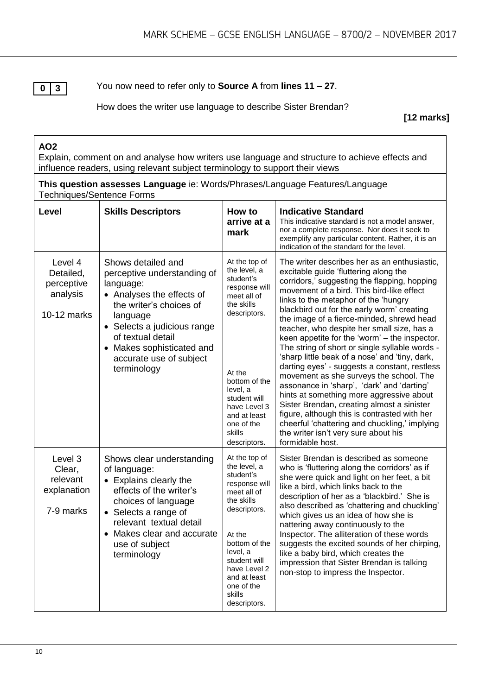**0 3**

You now need to refer only to **Source A** from **lines 11 – 27**.

How does the writer use language to describe Sister Brendan?

**[12 marks]**

#### **AO2**

Explain, comment on and analyse how writers use language and structure to achieve effects and influence readers, using relevant subject terminology to support their views

|                           | This question assesses Language ie: Words/Phrases/Language Features/Language |
|---------------------------|------------------------------------------------------------------------------|
| Techniques/Sentence Forms |                                                                              |

| Level                                                         | <b>Skills Descriptors</b>                                                                                                                                                                                                                                     | How to<br>arrive at a<br>mark                                                                                                                                                                                                           | <b>Indicative Standard</b><br>This indicative standard is not a model answer,<br>nor a complete response. Nor does it seek to<br>exemplify any particular content. Rather, it is an<br>indication of the standard for the level.                                                                                                                                                                                                                                                                                                                                                                                                                                                                                                                                                                                                                                                                                          |
|---------------------------------------------------------------|---------------------------------------------------------------------------------------------------------------------------------------------------------------------------------------------------------------------------------------------------------------|-----------------------------------------------------------------------------------------------------------------------------------------------------------------------------------------------------------------------------------------|---------------------------------------------------------------------------------------------------------------------------------------------------------------------------------------------------------------------------------------------------------------------------------------------------------------------------------------------------------------------------------------------------------------------------------------------------------------------------------------------------------------------------------------------------------------------------------------------------------------------------------------------------------------------------------------------------------------------------------------------------------------------------------------------------------------------------------------------------------------------------------------------------------------------------|
| Level 4<br>Detailed,<br>perceptive<br>analysis<br>10-12 marks | Shows detailed and<br>perceptive understanding of<br>language:<br>• Analyses the effects of<br>the writer's choices of<br>language<br>• Selects a judicious range<br>of textual detail<br>• Makes sophisticated and<br>accurate use of subject<br>terminology | At the top of<br>the level, a<br>student's<br>response will<br>meet all of<br>the skills<br>descriptors.<br>At the<br>bottom of the<br>level, a<br>student will<br>have Level 3<br>and at least<br>one of the<br>skills<br>descriptors. | The writer describes her as an enthusiastic,<br>excitable guide 'fluttering along the<br>corridors,' suggesting the flapping, hopping<br>movement of a bird. This bird-like effect<br>links to the metaphor of the 'hungry<br>blackbird out for the early worm' creating<br>the image of a fierce-minded, shrewd head<br>teacher, who despite her small size, has a<br>keen appetite for the 'worm' - the inspector.<br>The string of short or single syllable words -<br>'sharp little beak of a nose' and 'tiny, dark,<br>darting eyes' - suggests a constant, restless<br>movement as she surveys the school. The<br>assonance in 'sharp', 'dark' and 'darting'<br>hints at something more aggressive about<br>Sister Brendan, creating almost a sinister<br>figure, although this is contrasted with her<br>cheerful 'chattering and chuckling,' implying<br>the writer isn't very sure about his<br>formidable host. |
| Level 3<br>Clear,<br>relevant<br>explanation<br>7-9 marks     | Shows clear understanding<br>of language:<br>• Explains clearly the<br>effects of the writer's<br>choices of language<br>• Selects a range of<br>relevant textual detail<br>• Makes clear and accurate<br>use of subject<br>terminology                       | At the top of<br>the level, a<br>student's<br>response will<br>meet all of<br>the skills<br>descriptors.<br>At the<br>bottom of the<br>level, a<br>student will<br>have Level 2<br>and at least<br>one of the<br>skills<br>descriptors. | Sister Brendan is described as someone<br>who is 'fluttering along the corridors' as if<br>she were quick and light on her feet, a bit<br>like a bird, which links back to the<br>description of her as a 'blackbird.' She is<br>also described as 'chattering and chuckling'<br>which gives us an idea of how she is<br>nattering away continuously to the<br>Inspector. The alliteration of these words<br>suggests the excited sounds of her chirping,<br>like a baby bird, which creates the<br>impression that Sister Brendan is talking<br>non-stop to impress the Inspector.                                                                                                                                                                                                                                                                                                                                       |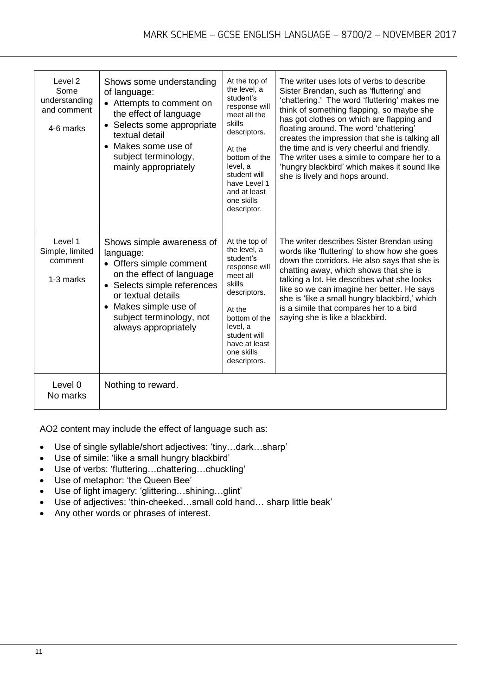| Level 2<br>Some<br>understanding<br>and comment<br>4-6 marks | Shows some understanding<br>of language:<br>• Attempts to comment on<br>the effect of language<br>• Selects some appropriate<br>textual detail<br>• Makes some use of<br>subject terminology,<br>mainly appropriately            | At the top of<br>the level, a<br>student's<br>response will<br>meet all the<br>skills<br>descriptors.<br>At the<br>bottom of the<br>level, a<br>student will<br>have Level 1<br>and at least<br>one skills<br>descriptor. | The writer uses lots of verbs to describe<br>Sister Brendan, such as 'fluttering' and<br>'chattering.' The word 'fluttering' makes me<br>think of something flapping, so maybe she<br>has got clothes on which are flapping and<br>floating around. The word 'chattering'<br>creates the impression that she is talking all<br>the time and is very cheerful and friendly.<br>The writer uses a simile to compare her to a<br>'hungry blackbird' which makes it sound like<br>she is lively and hops around. |
|--------------------------------------------------------------|----------------------------------------------------------------------------------------------------------------------------------------------------------------------------------------------------------------------------------|---------------------------------------------------------------------------------------------------------------------------------------------------------------------------------------------------------------------------|--------------------------------------------------------------------------------------------------------------------------------------------------------------------------------------------------------------------------------------------------------------------------------------------------------------------------------------------------------------------------------------------------------------------------------------------------------------------------------------------------------------|
| Level 1<br>Simple, limited<br>comment<br>1-3 marks           | Shows simple awareness of<br>language:<br>• Offers simple comment<br>on the effect of language<br>• Selects simple references<br>or textual details<br>• Makes simple use of<br>subject terminology, not<br>always appropriately | At the top of<br>the level, a<br>student's<br>response will<br>meet all<br>skills<br>descriptors.<br>At the<br>bottom of the<br>level, a<br>student will<br>have at least<br>one skills<br>descriptors.                   | The writer describes Sister Brendan using<br>words like 'fluttering' to show how she goes<br>down the corridors. He also says that she is<br>chatting away, which shows that she is<br>talking a lot. He describes what she looks<br>like so we can imagine her better. He says<br>she is 'like a small hungry blackbird,' which<br>is a simile that compares her to a bird<br>saying she is like a blackbird.                                                                                               |
| Level 0<br>No marks                                          | Nothing to reward.                                                                                                                                                                                                               |                                                                                                                                                                                                                           |                                                                                                                                                                                                                                                                                                                                                                                                                                                                                                              |

AO2 content may include the effect of language such as:

- Use of single syllable/short adjectives: 'tiny…dark…sharp'
- Use of simile: 'like a small hungry blackbird'
- Use of verbs: 'fluttering…chattering…chuckling'
- Use of metaphor: 'the Queen Bee'
- Use of light imagery: 'glittering…shining…glint'
- Use of adjectives: 'thin-cheeked…small cold hand… sharp little beak'
- Any other words or phrases of interest.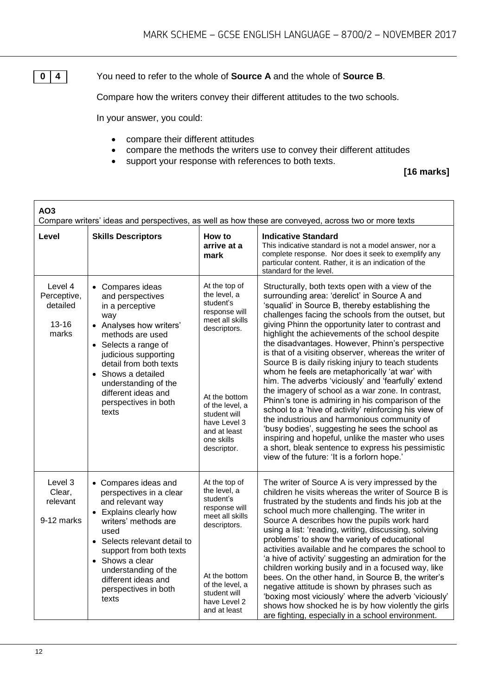**0 4** You need to refer to the whole of **Source A** and the whole of **Source B**.

Compare how the writers convey their different attitudes to the two schools.

In your answer, you could:

- compare their different attitudes
- compare the methods the writers use to convey their different attitudes
- support your response with references to both texts.

#### **[16 marks]**

| AO <sub>3</sub><br>Compare writers' ideas and perspectives, as well as how these are conveyed, across two or more texts |                                                                                                                                                                                                                                                                                               |                                                                                                                                                                                                                 |                                                                                                                                                                                                                                                                                                                                                                                                                                                                                                                                                                                                                                                                                                                                                                                                                                                                                                                                                                                                                                |  |
|-------------------------------------------------------------------------------------------------------------------------|-----------------------------------------------------------------------------------------------------------------------------------------------------------------------------------------------------------------------------------------------------------------------------------------------|-----------------------------------------------------------------------------------------------------------------------------------------------------------------------------------------------------------------|--------------------------------------------------------------------------------------------------------------------------------------------------------------------------------------------------------------------------------------------------------------------------------------------------------------------------------------------------------------------------------------------------------------------------------------------------------------------------------------------------------------------------------------------------------------------------------------------------------------------------------------------------------------------------------------------------------------------------------------------------------------------------------------------------------------------------------------------------------------------------------------------------------------------------------------------------------------------------------------------------------------------------------|--|
| Level                                                                                                                   | <b>Skills Descriptors</b>                                                                                                                                                                                                                                                                     | How to<br>arrive at a<br>mark                                                                                                                                                                                   | <b>Indicative Standard</b><br>This indicative standard is not a model answer, nor a<br>complete response. Nor does it seek to exemplify any<br>particular content. Rather, it is an indication of the<br>standard for the level.                                                                                                                                                                                                                                                                                                                                                                                                                                                                                                                                                                                                                                                                                                                                                                                               |  |
| Level 4<br>Perceptive,<br>detailed<br>$13 - 16$<br>marks                                                                | • Compares ideas<br>and perspectives<br>in a perceptive<br>way<br>• Analyses how writers'<br>methods are used<br>• Selects a range of<br>judicious supporting<br>detail from both texts<br>• Shows a detailed<br>understanding of the<br>different ideas and<br>perspectives in both<br>texts | At the top of<br>the level, a<br>student's<br>response will<br>meet all skills<br>descriptors.<br>At the bottom<br>of the level, a<br>student will<br>have Level 3<br>and at least<br>one skills<br>descriptor. | Structurally, both texts open with a view of the<br>surrounding area: 'derelict' in Source A and<br>'squalid' in Source B, thereby establishing the<br>challenges facing the schools from the outset, but<br>giving Phinn the opportunity later to contrast and<br>highlight the achievements of the school despite<br>the disadvantages. However, Phinn's perspective<br>is that of a visiting observer, whereas the writer of<br>Source B is daily risking injury to teach students<br>whom he feels are metaphorically 'at war' with<br>him. The adverbs 'viciously' and 'fearfully' extend<br>the imagery of school as a war zone. In contrast,<br>Phinn's tone is admiring in his comparison of the<br>school to a 'hive of activity' reinforcing his view of<br>the industrious and harmonious community of<br>'busy bodies', suggesting he sees the school as<br>inspiring and hopeful, unlike the master who uses<br>a short, bleak sentence to express his pessimistic<br>view of the future: 'It is a forlorn hope.' |  |
| Level 3<br>Clear,<br>relevant<br>9-12 marks                                                                             | • Compares ideas and<br>perspectives in a clear<br>and relevant way<br>• Explains clearly how<br>writers' methods are<br>used<br>• Selects relevant detail to<br>support from both texts<br>• Shows a clear<br>understanding of the<br>different ideas and<br>perspectives in both<br>texts   | At the top of<br>the level, a<br>student's<br>response will<br>meet all skills<br>descriptors.<br>At the bottom<br>of the level, a<br>student will<br>have Level 2<br>and at least                              | The writer of Source A is very impressed by the<br>children he visits whereas the writer of Source B is<br>frustrated by the students and finds his job at the<br>school much more challenging. The writer in<br>Source A describes how the pupils work hard<br>using a list: 'reading, writing, discussing, solving<br>problems' to show the variety of educational<br>activities available and he compares the school to<br>'a hive of activity' suggesting an admiration for the<br>children working busily and in a focused way, like<br>bees. On the other hand, in Source B, the writer's<br>negative attitude is shown by phrases such as<br>'boxing most viciously' where the adverb 'viciously'<br>shows how shocked he is by how violently the girls<br>are fighting, especially in a school environment.                                                                                                                                                                                                            |  |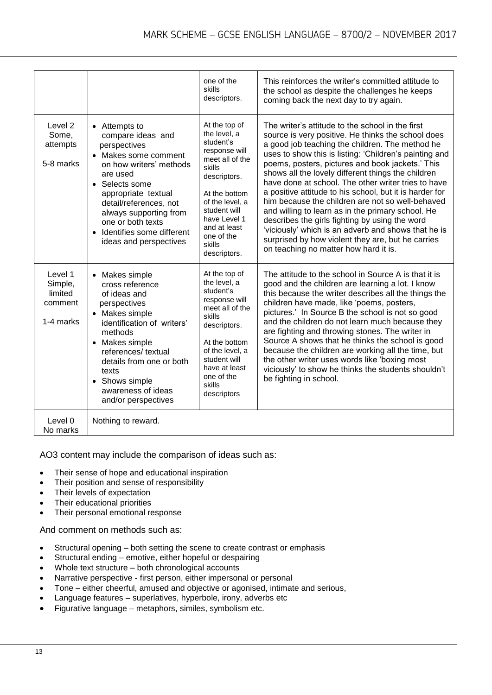|                                                       |                                                                                                                                                                                                                                                                                                                    | one of the<br>skills<br>descriptors.                                                                                                                                                                                                 | This reinforces the writer's committed attitude to<br>the school as despite the challenges he keeps<br>coming back the next day to try again.                                                                                                                                                                                                                                                                                                                                                                                                                                                                                                                                                                                                                   |
|-------------------------------------------------------|--------------------------------------------------------------------------------------------------------------------------------------------------------------------------------------------------------------------------------------------------------------------------------------------------------------------|--------------------------------------------------------------------------------------------------------------------------------------------------------------------------------------------------------------------------------------|-----------------------------------------------------------------------------------------------------------------------------------------------------------------------------------------------------------------------------------------------------------------------------------------------------------------------------------------------------------------------------------------------------------------------------------------------------------------------------------------------------------------------------------------------------------------------------------------------------------------------------------------------------------------------------------------------------------------------------------------------------------------|
| Level <sub>2</sub><br>Some,<br>attempts<br>5-8 marks  | • Attempts to<br>compare ideas and<br>perspectives<br>Makes some comment<br>$\bullet$<br>on how writers' methods<br>are used<br>• Selects some<br>appropriate textual<br>detail/references, not<br>always supporting from<br>one or both texts<br>Identifies some different<br>$\bullet$<br>ideas and perspectives | At the top of<br>the level, a<br>student's<br>response will<br>meet all of the<br>skills<br>descriptors.<br>At the bottom<br>of the level, a<br>student will<br>have Level 1<br>and at least<br>one of the<br>skills<br>descriptors. | The writer's attitude to the school in the first<br>source is very positive. He thinks the school does<br>a good job teaching the children. The method he<br>uses to show this is listing: 'Children's painting and<br>poems, posters, pictures and book jackets.' This<br>shows all the lovely different things the children<br>have done at school. The other writer tries to have<br>a positive attitude to his school, but it is harder for<br>him because the children are not so well-behaved<br>and willing to learn as in the primary school. He<br>describes the girls fighting by using the word<br>'viciously' which is an adverb and shows that he is<br>surprised by how violent they are, but he carries<br>on teaching no matter how hard it is. |
| Level 1<br>Simple,<br>limited<br>comment<br>1-4 marks | • Makes simple<br>cross reference<br>of ideas and<br>perspectives<br>• Makes simple<br>identification of writers'<br>methods<br>• Makes simple<br>references/ textual<br>details from one or both<br>texts<br>• Shows simple<br>awareness of ideas<br>and/or perspectives                                          | At the top of<br>the level, a<br>student's<br>response will<br>meet all of the<br>skills<br>descriptors.<br>At the bottom<br>of the level, a<br>student will<br>have at least<br>one of the<br>skills<br>descriptors                 | The attitude to the school in Source A is that it is<br>good and the children are learning a lot. I know<br>this because the writer describes all the things the<br>children have made, like 'poems, posters,<br>pictures.' In Source B the school is not so good<br>and the children do not learn much because they<br>are fighting and throwing stones. The writer in<br>Source A shows that he thinks the school is good<br>because the children are working all the time, but<br>the other writer uses words like 'boxing most<br>viciously' to show he thinks the students shouldn't<br>be fighting in school.                                                                                                                                             |
| Level 0<br>No marks                                   | Nothing to reward.                                                                                                                                                                                                                                                                                                 |                                                                                                                                                                                                                                      |                                                                                                                                                                                                                                                                                                                                                                                                                                                                                                                                                                                                                                                                                                                                                                 |

AO3 content may include the comparison of ideas such as:

- Their sense of hope and educational inspiration
- Their position and sense of responsibility
- Their levels of expectation
- Their educational priorities
- Their personal emotional response

And comment on methods such as:

- Structural opening both setting the scene to create contrast or emphasis
- Structural ending emotive, either hopeful or despairing
- Whole text structure both chronological accounts
- Narrative perspective first person, either impersonal or personal
- Tone either cheerful, amused and objective or agonised, intimate and serious,
- Language features superlatives, hyperbole, irony, adverbs etc
- Figurative language metaphors, similes, symbolism etc.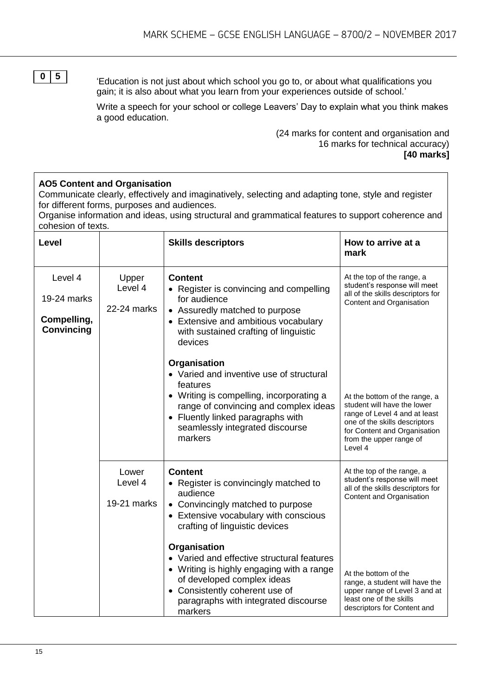**0 5**

**AO5 Content and Organisation**

'Education is not just about which school you go to, or about what qualifications you gain; it is also about what you learn from your experiences outside of school.'

Write a speech for your school or college Leavers' Day to explain what you think makes a good education.

> (24 marks for content and organisation and 16 marks for technical accuracy) **[40 marks]**

#### Communicate clearly, effectively and imaginatively, selecting and adapting tone, style and register for different forms, purposes and audiences. Organise information and ideas, using structural and grammatical features to support coherence and cohesion of texts. **Level Example 3 Skills descriptors How to arrive at a How to arrive at a mark** Level 4 19-24 marks **Compelling, Convincing** Upper Level 4 22-24 marks **Content** Register is convincing and compelling for audience Assuredly matched to purpose • Extensive and ambitious vocabulary with sustained crafting of linguistic devices **Organisation** Varied and inventive use of structural features Writing is compelling, incorporating a range of convincing and complex ideas At the top of the range, a student's response will meet all of the skills descriptors for Content and Organisation

|                                 | • Varied and inventive use of structural<br>features<br>Writing is compelling, incorporating a<br>٠<br>range of convincing and complex ideas<br>Fluently linked paragraphs with<br>$\bullet$<br>seamlessly integrated discourse<br>markers | At the bottom of the range, a<br>student will have the lower<br>range of Level 4 and at least<br>one of the skills descriptors<br>for Content and Organisation<br>from the upper range of<br>Level 4 |
|---------------------------------|--------------------------------------------------------------------------------------------------------------------------------------------------------------------------------------------------------------------------------------------|------------------------------------------------------------------------------------------------------------------------------------------------------------------------------------------------------|
| Lower<br>Level 4<br>19-21 marks | <b>Content</b><br>• Register is convincingly matched to<br>audience<br>• Convincingly matched to purpose<br>Extensive vocabulary with conscious<br>$\bullet$<br>crafting of linguistic devices                                             | At the top of the range, a<br>student's response will meet<br>all of the skills descriptors for<br>Content and Organisation                                                                          |
|                                 | Organisation<br>• Varied and effective structural features<br>Writing is highly engaging with a range<br>$\bullet$<br>of developed complex ideas<br>Consistently coherent use of<br>٠<br>paragraphs with integrated discourse<br>markers   | At the bottom of the<br>range, a student will have the<br>upper range of Level 3 and at<br>least one of the skills<br>descriptors for Content and                                                    |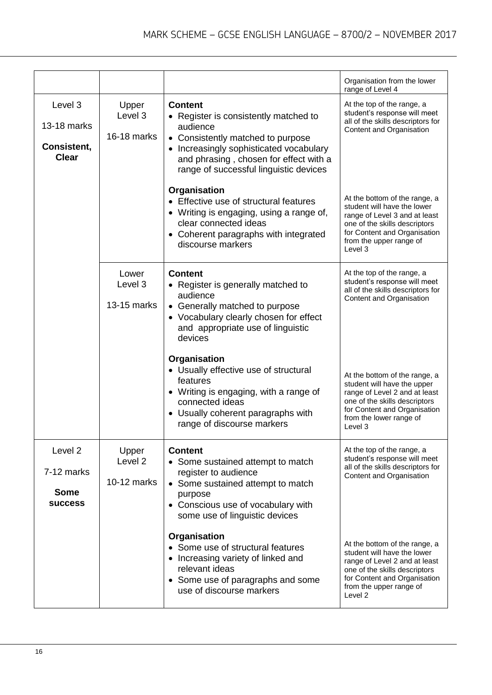|                                                                   |                                            |                                                                                                                                                                                                                                     | Organisation from the lower<br>range of Level 4                                                                                                                                                      |
|-------------------------------------------------------------------|--------------------------------------------|-------------------------------------------------------------------------------------------------------------------------------------------------------------------------------------------------------------------------------------|------------------------------------------------------------------------------------------------------------------------------------------------------------------------------------------------------|
| Level 3<br>13-18 marks<br>Consistent,<br><b>Clear</b>             | Upper<br>Level 3<br>16-18 marks            | <b>Content</b><br>Register is consistently matched to<br>audience<br>• Consistently matched to purpose<br>Increasingly sophisticated vocabulary<br>and phrasing, chosen for effect with a<br>range of successful linguistic devices | At the top of the range, a<br>student's response will meet<br>all of the skills descriptors for<br>Content and Organisation                                                                          |
|                                                                   |                                            | Organisation<br>• Effective use of structural features<br>• Writing is engaging, using a range of,<br>clear connected ideas<br>Coherent paragraphs with integrated<br>discourse markers                                             | At the bottom of the range, a<br>student will have the lower<br>range of Level 3 and at least<br>one of the skills descriptors<br>for Content and Organisation<br>from the upper range of<br>Level 3 |
|                                                                   | Lower<br>Level 3<br>13-15 marks            | <b>Content</b><br>• Register is generally matched to<br>audience<br>• Generally matched to purpose<br>• Vocabulary clearly chosen for effect<br>and appropriate use of linguistic<br>devices                                        | At the top of the range, a<br>student's response will meet<br>all of the skills descriptors for<br>Content and Organisation                                                                          |
|                                                                   |                                            | Organisation<br>• Usually effective use of structural<br>features<br>• Writing is engaging, with a range of<br>connected ideas<br>Usually coherent paragraphs with<br>range of discourse markers                                    | At the bottom of the range, a<br>student will have the upper<br>range of Level 2 and at least<br>one of the skills descriptors<br>for Content and Organisation<br>from the lower range of<br>Level 3 |
| Level <sub>2</sub><br>7-12 marks<br><b>Some</b><br><b>SUCCESS</b> | Upper<br>Level <sub>2</sub><br>10-12 marks | <b>Content</b><br>• Some sustained attempt to match<br>register to audience<br>• Some sustained attempt to match<br>purpose<br>• Conscious use of vocabulary with<br>some use of linguistic devices                                 | At the top of the range, a<br>student's response will meet<br>all of the skills descriptors for<br>Content and Organisation                                                                          |
|                                                                   |                                            | Organisation<br>• Some use of structural features<br>Increasing variety of linked and<br>relevant ideas<br>• Some use of paragraphs and some<br>use of discourse markers                                                            | At the bottom of the range, a<br>student will have the lower<br>range of Level 2 and at least<br>one of the skills descriptors<br>for Content and Organisation<br>from the upper range of<br>Level 2 |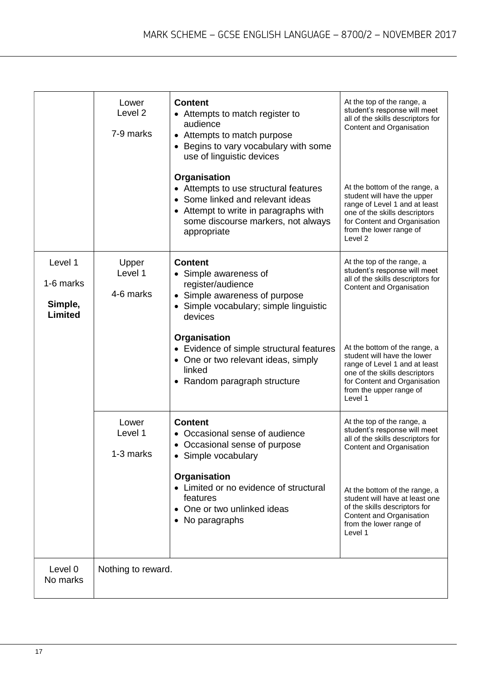|                                                   | Lower<br>Level <sub>2</sub><br>7-9 marks | <b>Content</b><br>• Attempts to match register to<br>audience<br>Attempts to match purpose<br>Begins to vary vocabulary with some<br>use of linguistic devices<br>Organisation<br>• Attempts to use structural features<br>• Some linked and relevant ideas<br>• Attempt to write in paragraphs with<br>some discourse markers, not always<br>appropriate | At the top of the range, a<br>student's response will meet<br>all of the skills descriptors for<br>Content and Organisation<br>At the bottom of the range, a<br>student will have the upper<br>range of Level 1 and at least<br>one of the skills descriptors<br>for Content and Organisation<br>from the lower range of<br>Level 2 |
|---------------------------------------------------|------------------------------------------|-----------------------------------------------------------------------------------------------------------------------------------------------------------------------------------------------------------------------------------------------------------------------------------------------------------------------------------------------------------|-------------------------------------------------------------------------------------------------------------------------------------------------------------------------------------------------------------------------------------------------------------------------------------------------------------------------------------|
| Level 1<br>1-6 marks<br>Simple,<br><b>Limited</b> | Upper<br>Level 1<br>4-6 marks            | <b>Content</b><br>• Simple awareness of<br>register/audience<br>Simple awareness of purpose<br>$\bullet$<br>Simple vocabulary; simple linguistic<br>devices<br>Organisation<br>• Evidence of simple structural features<br>• One or two relevant ideas, simply<br>linked<br>• Random paragraph structure                                                  | At the top of the range, a<br>student's response will meet<br>all of the skills descriptors for<br>Content and Organisation<br>At the bottom of the range, a<br>student will have the lower<br>range of Level 1 and at least<br>one of the skills descriptors<br>for Content and Organisation<br>from the upper range of<br>Level 1 |
|                                                   | Lower<br>Level 1<br>1-3 marks            | <b>Content</b><br>• Occasional sense of audience<br>Occasional sense of purpose<br>Simple vocabulary<br>Organisation<br>• Limited or no evidence of structural<br>features<br>• One or two unlinked ideas<br>• No paragraphs                                                                                                                              | At the top of the range, a<br>student's response will meet<br>all of the skills descriptors for<br>Content and Organisation<br>At the bottom of the range, a<br>student will have at least one<br>of the skills descriptors for<br>Content and Organisation<br>from the lower range of<br>Level 1                                   |
| Level 0<br>No marks                               | Nothing to reward.                       |                                                                                                                                                                                                                                                                                                                                                           |                                                                                                                                                                                                                                                                                                                                     |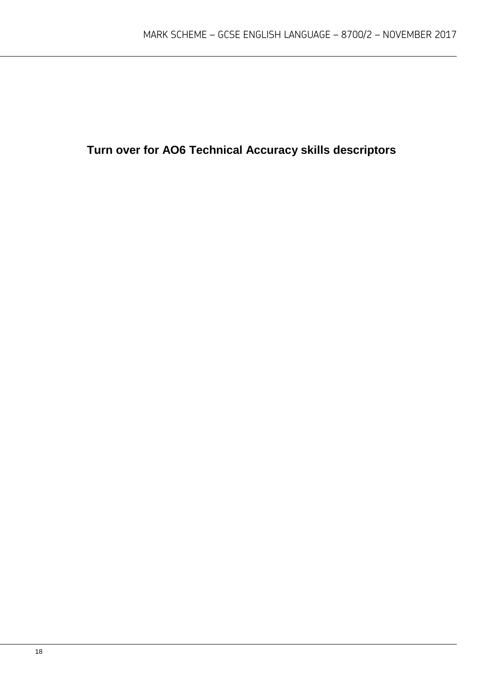**Turn over for AO6 Technical Accuracy skills descriptors**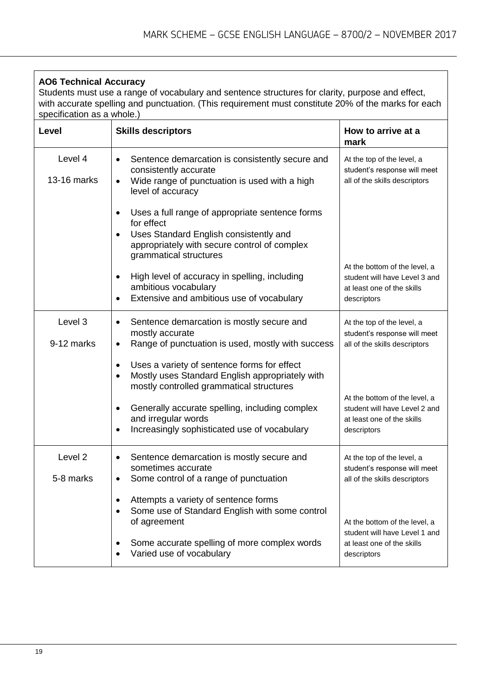#### **AO6 Technical Accuracy**

Students must use a range of vocabulary and sentence structures for clarity, purpose and effect, with accurate spelling and punctuation. (This requirement must constitute 20% of the marks for each specification as a whole.)

| Level                           | <b>Skills descriptors</b>                                                                                                                                                                      | How to arrive at a<br>mark                                                                                  |
|---------------------------------|------------------------------------------------------------------------------------------------------------------------------------------------------------------------------------------------|-------------------------------------------------------------------------------------------------------------|
| Level 4<br>13-16 marks          | Sentence demarcation is consistently secure and<br>$\bullet$<br>consistently accurate<br>Wide range of punctuation is used with a high<br>$\bullet$<br>level of accuracy                       | At the top of the level, a<br>student's response will meet<br>all of the skills descriptors                 |
|                                 | Uses a full range of appropriate sentence forms<br>$\bullet$<br>for effect<br>Uses Standard English consistently and<br>appropriately with secure control of complex<br>grammatical structures |                                                                                                             |
|                                 | High level of accuracy in spelling, including<br>$\bullet$<br>ambitious vocabulary<br>Extensive and ambitious use of vocabulary                                                                | At the bottom of the level, a<br>student will have Level 3 and<br>at least one of the skills<br>descriptors |
| Level 3<br>9-12 marks           | Sentence demarcation is mostly secure and<br>$\bullet$<br>mostly accurate<br>Range of punctuation is used, mostly with success<br>٠                                                            | At the top of the level, a<br>student's response will meet<br>all of the skills descriptors                 |
|                                 | Uses a variety of sentence forms for effect<br>٠<br>Mostly uses Standard English appropriately with<br>$\bullet$<br>mostly controlled grammatical structures                                   |                                                                                                             |
|                                 | Generally accurate spelling, including complex<br>٠<br>and irregular words<br>Increasingly sophisticated use of vocabulary<br>٠                                                                | At the bottom of the level, a<br>student will have Level 2 and<br>at least one of the skills<br>descriptors |
| Level <sub>2</sub><br>5-8 marks | Sentence demarcation is mostly secure and<br>٠<br>sometimes accurate<br>Some control of a range of punctuation                                                                                 | At the top of the level, a<br>student's response will meet<br>all of the skills descriptors                 |
|                                 | Attempts a variety of sentence forms<br>Some use of Standard English with some control<br>$\bullet$<br>of agreement                                                                            | At the bottom of the level, a<br>student will have Level 1 and                                              |
|                                 | Some accurate spelling of more complex words<br>Varied use of vocabulary                                                                                                                       | at least one of the skills<br>descriptors                                                                   |